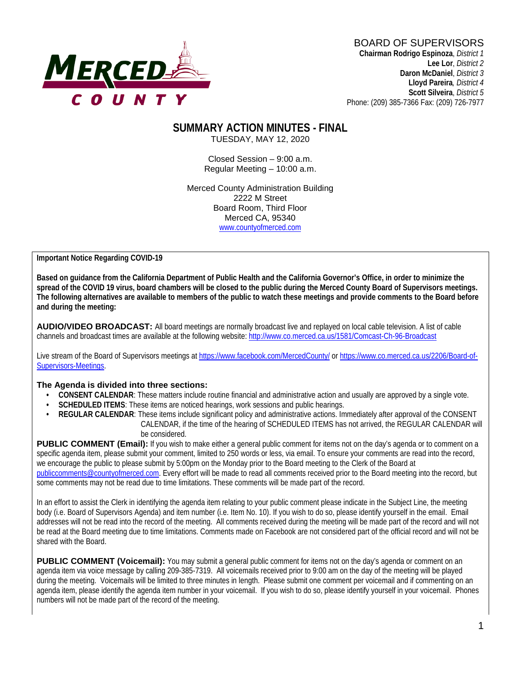

# BOARD OF SUPERVISORS

**Chairman Rodrigo Espinoza**, *District 1* **Lee Lor**, *District 2*  **Daron McDaniel**, *District 3* **Lloyd Pareira***, District 4*  **Scott Silveira**, *District 5* Phone: (209) 385-7366 Fax: (209) 726-7977

#### **SUMMARY ACTION MINUTES - FINAL** TUESDAY, MAY 12, 2020

Closed Session – 9:00 a.m. Regular Meeting – 10:00 a.m.

Merced County Administration Building 2222 M Street Board Room, Third Floor Merced CA, 95340 www.countyofmerced.com

**Important Notice Regarding COVID-19**

**Based on guidance from the California Department of Public Health and the California Governor's Office, in order to minimize the spread of the COVID 19 virus, board chambers will be closed to the public during the Merced County Board of Supervisors meetings. The following alternatives are available to members of the public to watch these meetings and provide comments to the Board before and during the meeting:**

**AUDIO/VIDEO BROADCAST:** All board meetings are normally broadcast live and replayed on local cable television. A list of cable channels and broadcast times are available at the following website[: http://www.co.merced.ca.us/1581/Comcast-Ch-96-Broadcast](http://www.co.merced.ca.us/1581/Comcast-Ch-96-Broadcast)

Live stream of the Board of Supervisors meetings at<https://www.facebook.com/MercedCounty/> o[r https://www.co.merced.ca.us/2206/Board-of-](https://www.co.merced.ca.us/2206/Board-of-Supervisors-Meetings)[Supervisors-Meetings.](https://www.co.merced.ca.us/2206/Board-of-Supervisors-Meetings)

#### **The Agenda is divided into three sections:**

- **CONSENT CALENDAR**: These matters include routine financial and administrative action and usually are approved by a single vote.
- **SCHEDULED ITEMS:** These items are noticed hearings, work sessions and public hearings.
- **REGULAR CALENDAR**: These items include significant policy and administrative actions. Immediately after approval of the CONSENT CALENDAR, if the time of the hearing of SCHEDULED ITEMS has not arrived, the REGULAR CALENDAR will be considered.

PUBLIC COMMENT (Email): If you wish to make either a general public comment for items not on the day's agenda or to comment on a specific agenda item, please submit your comment, limited to 250 words or less, via email. To ensure your comments are read into the record, we encourage the public to please submit by 5:00pm on the Monday prior to the Board meeting to the Clerk of the Board at [publiccomments@countyofmerced.com.](mailto:publiccomments@countyofmerced.com) Every effort will be made to read all comments received prior to the Board meeting into the record, but some comments may not be read due to time limitations. These comments will be made part of the record.

In an effort to assist the Clerk in identifying the agenda item relating to your public comment please indicate in the Subject Line, the meeting body (i.e. Board of Supervisors Agenda) and item number (i.e. Item No. 10). If you wish to do so, please identify yourself in the email. Email addresses will not be read into the record of the meeting. All comments received during the meeting will be made part of the record and will not be read at the Board meeting due to time limitations. Comments made on Facebook are not considered part of the official record and will not be shared with the Board.

**PUBLIC COMMENT (Voicemail):** You may submit a general public comment for items not on the day's agenda or comment on an agenda item via voice message by calling 209-385-7319. All voicemails received prior to 9:00 am on the day of the meeting will be played during the meeting. Voicemails will be limited to three minutes in length. Please submit one comment per voicemail and if commenting on an agenda item, please identify the agenda item number in your voicemail. If you wish to do so, please identify yourself in your voicemail. Phones numbers will not be made part of the record of the meeting.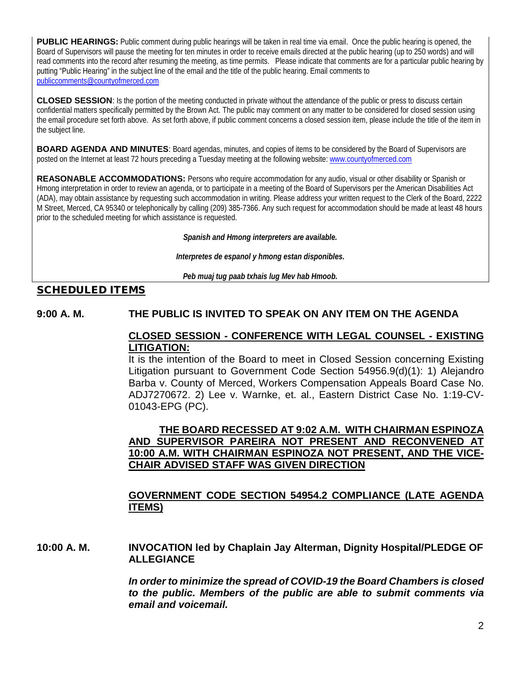**PUBLIC HEARINGS:** Public comment during public hearings will be taken in real time via email. Once the public hearing is opened, the Board of Supervisors will pause the meeting for ten minutes in order to receive emails directed at the public hearing (up to 250 words) and will read comments into the record after resuming the meeting, as time permits. Please indicate that comments are for a particular public hearing by putting "Public Hearing" in the subject line of the email and the title of the public hearing. Email comments to [publiccomments@countyofmerced.com](mailto:publiccomments@countyofmerced.com)

**CLOSED SESSION**: Is the portion of the meeting conducted in private without the attendance of the public or press to discuss certain confidential matters specifically permitted by the Brown Act. The public may comment on any matter to be considered for closed session using the email procedure set forth above. As set forth above, if public comment concerns a closed session item, please include the title of the item in the subject line.

**BOARD AGENDA AND MINUTES:** Board agendas, minutes, and copies of items to be considered by the Board of Supervisors are posted on the Internet at least 72 hours preceding a Tuesday meeting at the following website: [www.countyofmerced.com](http://www.countyofmerced.com/) 

**REASONABLE ACCOMMODATIONS:** Persons who require accommodation for any audio, visual or other disability or Spanish or Hmong interpretation in order to review an agenda, or to participate in a meeting of the Board of Supervisors per the American Disabilities Act (ADA), may obtain assistance by requesting such accommodation in writing. Please address your written request to the Clerk of the Board, 2222 M Street, Merced, CA 95340 or telephonically by calling (209) 385-7366. Any such request for accommodation should be made at least 48 hours prior to the scheduled meeting for which assistance is requested.

*Spanish and Hmong interpreters are available.*

*Interpretes de espanol y hmong estan disponibles.*

*Peb muaj tug paab txhais lug Mev hab Hmoob.* 

#### SCHEDULED ITEMS

#### **9:00 A. M. THE PUBLIC IS INVITED TO SPEAK ON ANY ITEM ON THE AGENDA**

#### **CLOSED SESSION - CONFERENCE WITH LEGAL COUNSEL - EXISTING LITIGATION:**

It is the intention of the Board to meet in Closed Session concerning Existing Litigation pursuant to Government Code Section 54956.9(d)(1): 1) Alejandro Barba v. County of Merced, Workers Compensation Appeals Board Case No. ADJ7270672. 2) Lee v. Warnke, et. al., Eastern District Case No. 1:19-CV-01043-EPG (PC).

#### **THE BOARD RECESSED AT 9:02 A.M. WITH CHAIRMAN ESPINOZA AND SUPERVISOR PAREIRA NOT PRESENT AND RECONVENED AT 10:00 A.M. WITH CHAIRMAN ESPINOZA NOT PRESENT, AND THE VICE-CHAIR ADVISED STAFF WAS GIVEN DIRECTION**

#### **GOVERNMENT CODE SECTION 54954.2 COMPLIANCE (LATE AGENDA ITEMS)**

**10:00 A. M. INVOCATION led by Chaplain Jay Alterman, Dignity Hospital/PLEDGE OF ALLEGIANCE**

> *In order to minimize the spread of COVID-19 the Board Chambers is closed to the public. Members of the public are able to submit comments via email and voicemail.*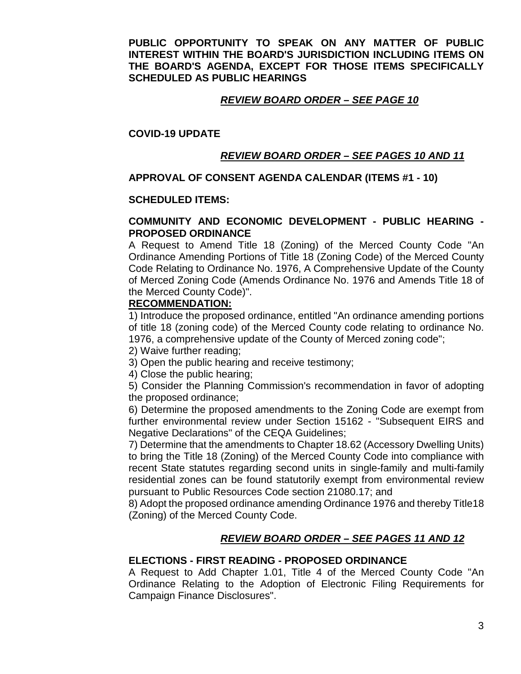**PUBLIC OPPORTUNITY TO SPEAK ON ANY MATTER OF PUBLIC INTEREST WITHIN THE BOARD'S JURISDICTION INCLUDING ITEMS ON THE BOARD'S AGENDA, EXCEPT FOR THOSE ITEMS SPECIFICALLY SCHEDULED AS PUBLIC HEARINGS**

#### *REVIEW BOARD ORDER – SEE PAGE 10*

#### **COVID-19 UPDATE**

#### *REVIEW BOARD ORDER – SEE PAGES 10 AND 11*

#### **APPROVAL OF CONSENT AGENDA CALENDAR (ITEMS #1 - 10)**

#### **SCHEDULED ITEMS:**

#### **COMMUNITY AND ECONOMIC DEVELOPMENT - PUBLIC HEARING - PROPOSED ORDINANCE**

A Request to Amend Title 18 (Zoning) of the Merced County Code "An Ordinance Amending Portions of Title 18 (Zoning Code) of the Merced County Code Relating to Ordinance No. 1976, A Comprehensive Update of the County of Merced Zoning Code (Amends Ordinance No. 1976 and Amends Title 18 of the Merced County Code)".

#### **RECOMMENDATION:**

1) Introduce the proposed ordinance, entitled "An ordinance amending portions of title 18 (zoning code) of the Merced County code relating to ordinance No. 1976, a comprehensive update of the County of Merced zoning code";

- 2) Waive further reading;
- 3) Open the public hearing and receive testimony;
- 4) Close the public hearing;

5) Consider the Planning Commission's recommendation in favor of adopting the proposed ordinance;

6) Determine the proposed amendments to the Zoning Code are exempt from further environmental review under Section 15162 - "Subsequent EIRS and Negative Declarations" of the CEQA Guidelines;

7) Determine that the amendments to Chapter 18.62 (Accessory Dwelling Units) to bring the Title 18 (Zoning) of the Merced County Code into compliance with recent State statutes regarding second units in single-family and multi-family residential zones can be found statutorily exempt from environmental review pursuant to Public Resources Code section 21080.17; and

8) Adopt the proposed ordinance amending Ordinance 1976 and thereby Title18 (Zoning) of the Merced County Code.

#### *REVIEW BOARD ORDER – SEE PAGES 11 AND 12*

#### **ELECTIONS - FIRST READING - PROPOSED ORDINANCE**

A Request to Add Chapter 1.01, Title 4 of the Merced County Code "An Ordinance Relating to the Adoption of Electronic Filing Requirements for Campaign Finance Disclosures".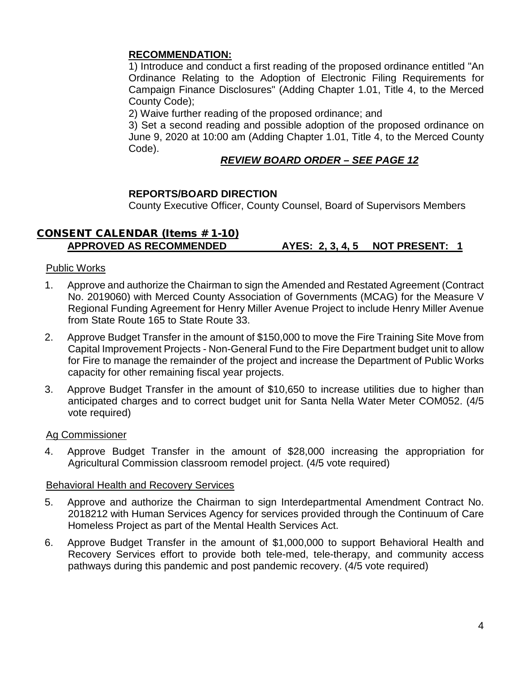#### **RECOMMENDATION:**

1) Introduce and conduct a first reading of the proposed ordinance entitled "An Ordinance Relating to the Adoption of Electronic Filing Requirements for Campaign Finance Disclosures" (Adding Chapter 1.01, Title 4, to the Merced County Code);

2) Waive further reading of the proposed ordinance; and

3) Set a second reading and possible adoption of the proposed ordinance on June 9, 2020 at 10:00 am (Adding Chapter 1.01, Title 4, to the Merced County Code).

### *REVIEW BOARD ORDER – SEE PAGE 12*

#### **REPORTS/BOARD DIRECTION**

County Executive Officer, County Counsel, Board of Supervisors Members

#### CONSENT CALENDAR (Items # 1-10) **APPROVED AS RECOMMENDED AYES: 2, 3, 4, 5 NOT PRESENT: 1**

#### Public Works

- 1. Approve and authorize the Chairman to sign the Amended and Restated Agreement (Contract No. 2019060) with Merced County Association of Governments (MCAG) for the Measure V Regional Funding Agreement for Henry Miller Avenue Project to include Henry Miller Avenue from State Route 165 to State Route 33.
- 2. Approve Budget Transfer in the amount of \$150,000 to move the Fire Training Site Move from Capital Improvement Projects - Non-General Fund to the Fire Department budget unit to allow for Fire to manage the remainder of the project and increase the Department of Public Works capacity for other remaining fiscal year projects.
- 3. Approve Budget Transfer in the amount of \$10,650 to increase utilities due to higher than anticipated charges and to correct budget unit for Santa Nella Water Meter COM052. (4/5 vote required)

#### Ag Commissioner

4. Approve Budget Transfer in the amount of \$28,000 increasing the appropriation for Agricultural Commission classroom remodel project. (4/5 vote required)

#### Behavioral Health and Recovery Services

- 5. Approve and authorize the Chairman to sign Interdepartmental Amendment Contract No. 2018212 with Human Services Agency for services provided through the Continuum of Care Homeless Project as part of the Mental Health Services Act.
- 6. Approve Budget Transfer in the amount of \$1,000,000 to support Behavioral Health and Recovery Services effort to provide both tele-med, tele-therapy, and community access pathways during this pandemic and post pandemic recovery. (4/5 vote required)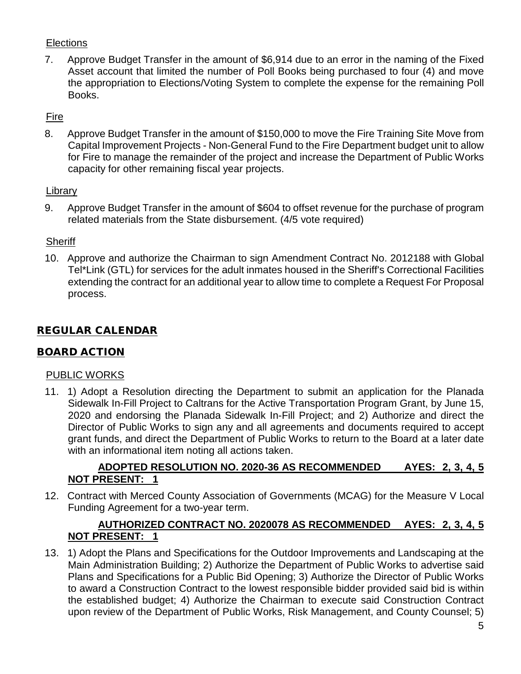## **Elections**

7. Approve Budget Transfer in the amount of \$6,914 due to an error in the naming of the Fixed Asset account that limited the number of Poll Books being purchased to four (4) and move the appropriation to Elections/Voting System to complete the expense for the remaining Poll Books.

# Fire

8. Approve Budget Transfer in the amount of \$150,000 to move the Fire Training Site Move from Capital Improvement Projects - Non-General Fund to the Fire Department budget unit to allow for Fire to manage the remainder of the project and increase the Department of Public Works capacity for other remaining fiscal year projects.

## **Library**

9. Approve Budget Transfer in the amount of \$604 to offset revenue for the purchase of program related materials from the State disbursement. (4/5 vote required)

## **Sheriff**

10. Approve and authorize the Chairman to sign Amendment Contract No. 2012188 with Global Tel\*Link (GTL) for services for the adult inmates housed in the Sheriff's Correctional Facilities extending the contract for an additional year to allow time to complete a Request For Proposal process.

## REGULAR CALENDAR

#### BOARD ACTION

#### PUBLIC WORKS

11. 1) Adopt a Resolution directing the Department to submit an application for the Planada Sidewalk In-Fill Project to Caltrans for the Active Transportation Program Grant, by June 15, 2020 and endorsing the Planada Sidewalk In-Fill Project; and 2) Authorize and direct the Director of Public Works to sign any and all agreements and documents required to accept grant funds, and direct the Department of Public Works to return to the Board at a later date with an informational item noting all actions taken.

## **ADOPTED RESOLUTION NO. 2020-36 AS RECOMMENDED AYES: 2, 3, 4, 5 NOT PRESENT: 1**

12. Contract with Merced County Association of Governments (MCAG) for the Measure V Local Funding Agreement for a two-year term.

## **AUTHORIZED CONTRACT NO. 2020078 AS RECOMMENDED AYES: 2, 3, 4, 5 NOT PRESENT: 1**

13. 1) Adopt the Plans and Specifications for the Outdoor Improvements and Landscaping at the Main Administration Building; 2) Authorize the Department of Public Works to advertise said Plans and Specifications for a Public Bid Opening; 3) Authorize the Director of Public Works to award a Construction Contract to the lowest responsible bidder provided said bid is within the established budget; 4) Authorize the Chairman to execute said Construction Contract upon review of the Department of Public Works, Risk Management, and County Counsel; 5)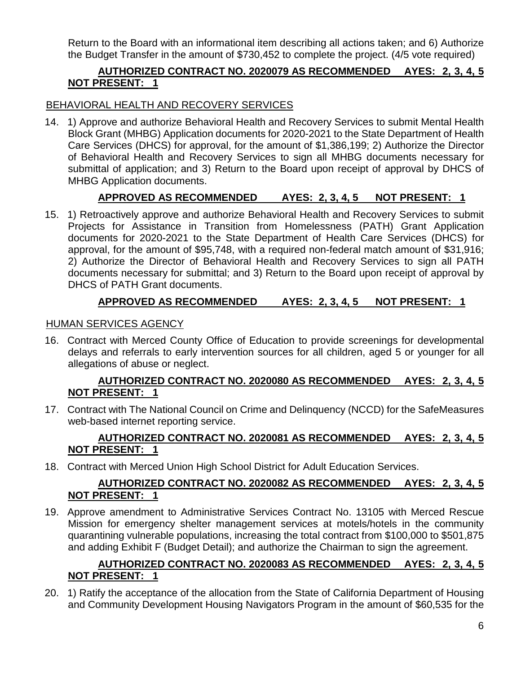Return to the Board with an informational item describing all actions taken; and 6) Authorize the Budget Transfer in the amount of \$730,452 to complete the project. (4/5 vote required)

## **AUTHORIZED CONTRACT NO. 2020079 AS RECOMMENDED AYES: 2, 3, 4, 5 NOT PRESENT: 1**

### BEHAVIORAL HEALTH AND RECOVERY SERVICES

14. 1) Approve and authorize Behavioral Health and Recovery Services to submit Mental Health Block Grant (MHBG) Application documents for 2020-2021 to the State Department of Health Care Services (DHCS) for approval, for the amount of \$1,386,199; 2) Authorize the Director of Behavioral Health and Recovery Services to sign all MHBG documents necessary for submittal of application; and 3) Return to the Board upon receipt of approval by DHCS of MHBG Application documents.

## **APPROVED AS RECOMMENDED AYES: 2, 3, 4, 5 NOT PRESENT: 1**

15. 1) Retroactively approve and authorize Behavioral Health and Recovery Services to submit Projects for Assistance in Transition from Homelessness (PATH) Grant Application documents for 2020-2021 to the State Department of Health Care Services (DHCS) for approval, for the amount of \$95,748, with a required non-federal match amount of \$31,916; 2) Authorize the Director of Behavioral Health and Recovery Services to sign all PATH documents necessary for submittal; and 3) Return to the Board upon receipt of approval by DHCS of PATH Grant documents.

## **APPROVED AS RECOMMENDED AYES: 2, 3, 4, 5 NOT PRESENT: 1**

#### HUMAN SERVICES AGENCY

16. Contract with Merced County Office of Education to provide screenings for developmental delays and referrals to early intervention sources for all children, aged 5 or younger for all allegations of abuse or neglect.

#### **AUTHORIZED CONTRACT NO. 2020080 AS RECOMMENDED AYES: 2, 3, 4, 5 NOT PRESENT: 1**

17. Contract with The National Council on Crime and Delinquency (NCCD) for the SafeMeasures web-based internet reporting service.

## **AUTHORIZED CONTRACT NO. 2020081 AS RECOMMENDED AYES: 2, 3, 4, 5 NOT PRESENT: 1**

18. Contract with Merced Union High School District for Adult Education Services.

## **AUTHORIZED CONTRACT NO. 2020082 AS RECOMMENDED AYES: 2, 3, 4, 5 NOT PRESENT: 1**

19. Approve amendment to Administrative Services Contract No. 13105 with Merced Rescue Mission for emergency shelter management services at motels/hotels in the community quarantining vulnerable populations, increasing the total contract from \$100,000 to \$501,875 and adding Exhibit F (Budget Detail); and authorize the Chairman to sign the agreement.

#### **AUTHORIZED CONTRACT NO. 2020083 AS RECOMMENDED AYES: 2, 3, 4, 5 NOT PRESENT: 1**

20. 1) Ratify the acceptance of the allocation from the State of California Department of Housing and Community Development Housing Navigators Program in the amount of \$60,535 for the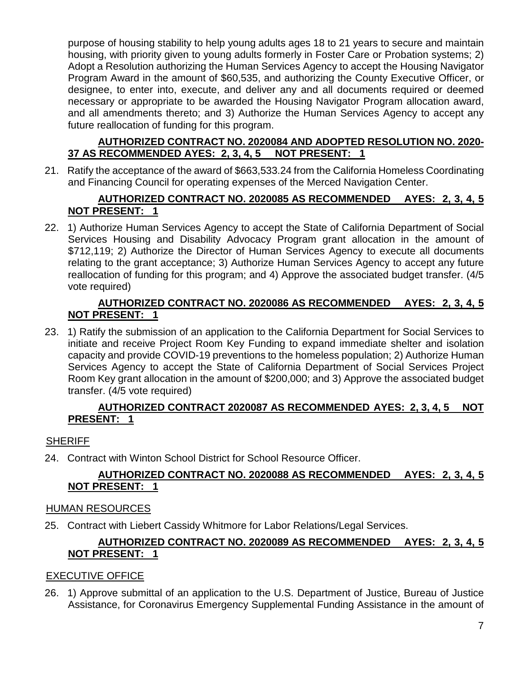purpose of housing stability to help young adults ages 18 to 21 years to secure and maintain housing, with priority given to young adults formerly in Foster Care or Probation systems; 2) Adopt a Resolution authorizing the Human Services Agency to accept the Housing Navigator Program Award in the amount of \$60,535, and authorizing the County Executive Officer, or designee, to enter into, execute, and deliver any and all documents required or deemed necessary or appropriate to be awarded the Housing Navigator Program allocation award, and all amendments thereto; and 3) Authorize the Human Services Agency to accept any future reallocation of funding for this program.

#### **AUTHORIZED CONTRACT NO. 2020084 AND ADOPTED RESOLUTION NO. 2020- 37 AS RECOMMENDED AYES: 2, 3, 4, 5 NOT PRESENT: 1**

21. Ratify the acceptance of the award of \$663,533.24 from the California Homeless Coordinating and Financing Council for operating expenses of the Merced Navigation Center.

#### **AUTHORIZED CONTRACT NO. 2020085 AS RECOMMENDED AYES: 2, 3, 4, 5 NOT PRESENT: 1**

22. 1) Authorize Human Services Agency to accept the State of California Department of Social Services Housing and Disability Advocacy Program grant allocation in the amount of \$712,119; 2) Authorize the Director of Human Services Agency to execute all documents relating to the grant acceptance; 3) Authorize Human Services Agency to accept any future reallocation of funding for this program; and 4) Approve the associated budget transfer. (4/5 vote required)

### **AUTHORIZED CONTRACT NO. 2020086 AS RECOMMENDED AYES: 2, 3, 4, 5 NOT PRESENT: 1**

23. 1) Ratify the submission of an application to the California Department for Social Services to initiate and receive Project Room Key Funding to expand immediate shelter and isolation capacity and provide COVID-19 preventions to the homeless population; 2) Authorize Human Services Agency to accept the State of California Department of Social Services Project Room Key grant allocation in the amount of \$200,000; and 3) Approve the associated budget transfer. (4/5 vote required)

#### **AUTHORIZED CONTRACT 2020087 AS RECOMMENDED AYES: 2, 3, 4, 5 NOT PRESENT: 1**

## **SHERIFF**

24. Contract with Winton School District for School Resource Officer.

## **AUTHORIZED CONTRACT NO. 2020088 AS RECOMMENDED AYES: 2, 3, 4, 5 NOT PRESENT: 1**

#### HUMAN RESOURCES

25. Contract with Liebert Cassidy Whitmore for Labor Relations/Legal Services.

#### **AUTHORIZED CONTRACT NO. 2020089 AS RECOMMENDED AYES: 2, 3, 4, 5 NOT PRESENT: 1**

#### EXECUTIVE OFFICE

26. 1) Approve submittal of an application to the U.S. Department of Justice, Bureau of Justice Assistance, for Coronavirus Emergency Supplemental Funding Assistance in the amount of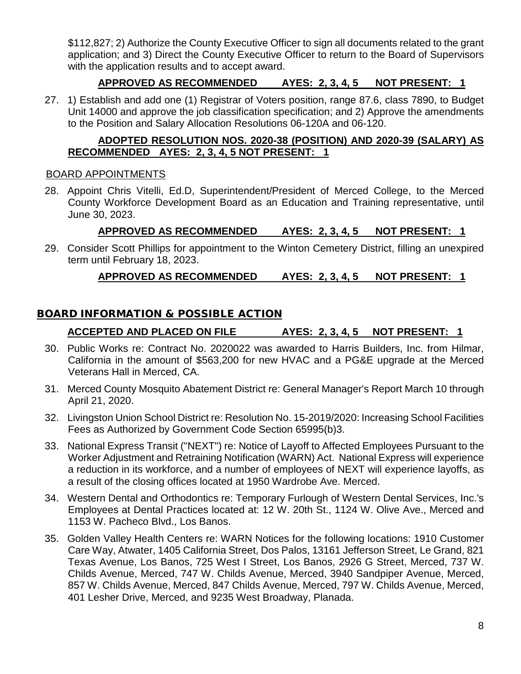\$112,827; 2) Authorize the County Executive Officer to sign all documents related to the grant application; and 3) Direct the County Executive Officer to return to the Board of Supervisors with the application results and to accept award.

## **APPROVED AS RECOMMENDED AYES: 2, 3, 4, 5 NOT PRESENT: 1**

27. 1) Establish and add one (1) Registrar of Voters position, range 87.6, class 7890, to Budget Unit 14000 and approve the job classification specification; and 2) Approve the amendments to the Position and Salary Allocation Resolutions 06-120A and 06-120.

### **ADOPTED RESOLUTION NOS. 2020-38 (POSITION) AND 2020-39 (SALARY) AS RECOMMENDED AYES: 2, 3, 4, 5 NOT PRESENT: 1**

#### BOARD APPOINTMENTS

28. Appoint Chris Vitelli, Ed.D, Superintendent/President of Merced College, to the Merced County Workforce Development Board as an Education and Training representative, until June 30, 2023.

#### **APPROVED AS RECOMMENDED AYES: 2, 3, 4, 5 NOT PRESENT: 1**

29. Consider Scott Phillips for appointment to the Winton Cemetery District, filling an unexpired term until February 18, 2023.

#### **APPROVED AS RECOMMENDED AYES: 2, 3, 4, 5 NOT PRESENT: 1**

## BOARD INFORMATION & POSSIBLE ACTION

## **ACCEPTED AND PLACED ON FILE AYES: 2, 3, 4, 5 NOT PRESENT: 1**

- 30. Public Works re: Contract No. 2020022 was awarded to Harris Builders, Inc. from Hilmar, California in the amount of \$563,200 for new HVAC and a PG&E upgrade at the Merced Veterans Hall in Merced, CA.
- 31. Merced County Mosquito Abatement District re: General Manager's Report March 10 through April 21, 2020.
- 32. Livingston Union School District re: Resolution No. 15-2019/2020: Increasing School Facilities Fees as Authorized by Government Code Section 65995(b)3.
- 33. National Express Transit ("NEXT") re: Notice of Layoff to Affected Employees Pursuant to the Worker Adjustment and Retraining Notification (WARN) Act. National Express will experience a reduction in its workforce, and a number of employees of NEXT will experience layoffs, as a result of the closing offices located at 1950 Wardrobe Ave. Merced.
- 34. Western Dental and Orthodontics re: Temporary Furlough of Western Dental Services, Inc.'s Employees at Dental Practices located at: 12 W. 20th St., 1124 W. Olive Ave., Merced and 1153 W. Pacheco Blvd., Los Banos.
- 35. Golden Valley Health Centers re: WARN Notices for the following locations: 1910 Customer Care Way, Atwater, 1405 California Street, Dos Palos, 13161 Jefferson Street, Le Grand, 821 Texas Avenue, Los Banos, 725 West I Street, Los Banos, 2926 G Street, Merced, 737 W. Childs Avenue, Merced, 747 W. Childs Avenue, Merced, 3940 Sandpiper Avenue, Merced, 857 W. Childs Avenue, Merced, 847 Childs Avenue, Merced, 797 W. Childs Avenue, Merced, 401 Lesher Drive, Merced, and 9235 West Broadway, Planada.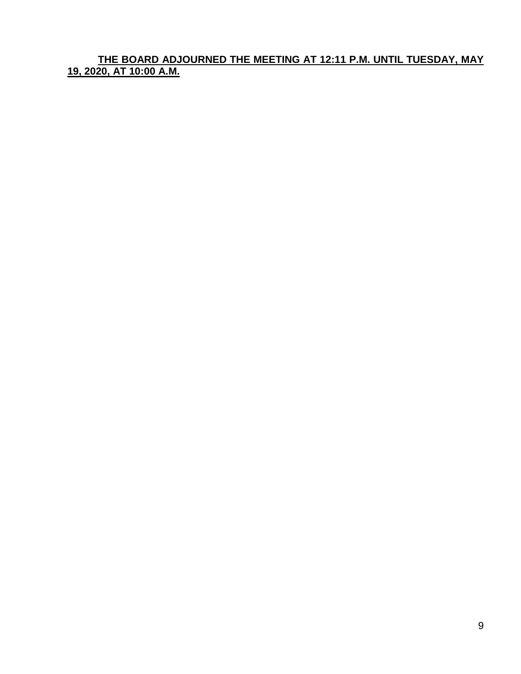**THE BOARD ADJOURNED THE MEETING AT 12:11 P.M. UNTIL TUESDAY, MAY 19, 2020, AT 10:00 A.M.**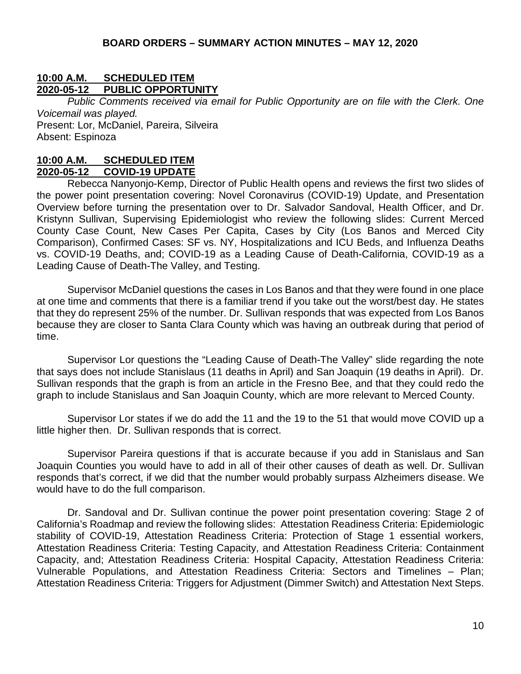#### **10:00 A.M. SCHEDULED ITEM 2020-05-12 PUBLIC OPPORTUNITY**

*Public Comments received via email for Public Opportunity are on file with the Clerk. One Voicemail was played.* Present: Lor, McDaniel, Pareira, Silveira Absent: Espinoza

# **10:00 A.M. SCHEDULED ITEM**

**2020-05-12 COVID-19 UPDATE**

Rebecca Nanyonjo-Kemp, Director of Public Health opens and reviews the first two slides of the power point presentation covering: Novel Coronavirus (COVID-19) Update, and Presentation Overview before turning the presentation over to Dr. Salvador Sandoval, Health Officer, and Dr. Kristynn Sullivan, Supervising Epidemiologist who review the following slides: Current Merced County Case Count, New Cases Per Capita, Cases by City (Los Banos and Merced City Comparison), Confirmed Cases: SF vs. NY, Hospitalizations and ICU Beds, and Influenza Deaths vs. COVID-19 Deaths, and; COVID-19 as a Leading Cause of Death-California, COVID-19 as a Leading Cause of Death-The Valley, and Testing.

Supervisor McDaniel questions the cases in Los Banos and that they were found in one place at one time and comments that there is a familiar trend if you take out the worst/best day. He states that they do represent 25% of the number. Dr. Sullivan responds that was expected from Los Banos because they are closer to Santa Clara County which was having an outbreak during that period of time.

Supervisor Lor questions the "Leading Cause of Death-The Valley" slide regarding the note that says does not include Stanislaus (11 deaths in April) and San Joaquin (19 deaths in April). Dr. Sullivan responds that the graph is from an article in the Fresno Bee, and that they could redo the graph to include Stanislaus and San Joaquin County, which are more relevant to Merced County.

Supervisor Lor states if we do add the 11 and the 19 to the 51 that would move COVID up a little higher then. Dr. Sullivan responds that is correct.

Supervisor Pareira questions if that is accurate because if you add in Stanislaus and San Joaquin Counties you would have to add in all of their other causes of death as well. Dr. Sullivan responds that's correct, if we did that the number would probably surpass Alzheimers disease. We would have to do the full comparison.

Dr. Sandoval and Dr. Sullivan continue the power point presentation covering: Stage 2 of California's Roadmap and review the following slides: Attestation Readiness Criteria: Epidemiologic stability of COVID-19, Attestation Readiness Criteria: Protection of Stage 1 essential workers, Attestation Readiness Criteria: Testing Capacity, and Attestation Readiness Criteria: Containment Capacity, and; Attestation Readiness Criteria: Hospital Capacity, Attestation Readiness Criteria: Vulnerable Populations, and Attestation Readiness Criteria: Sectors and Timelines – Plan; Attestation Readiness Criteria: Triggers for Adjustment (Dimmer Switch) and Attestation Next Steps.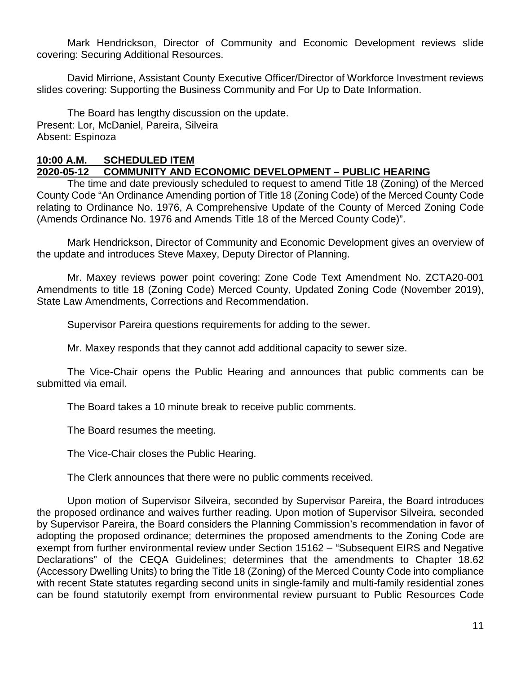Mark Hendrickson, Director of Community and Economic Development reviews slide covering: Securing Additional Resources.

David Mirrione, Assistant County Executive Officer/Director of Workforce Investment reviews slides covering: Supporting the Business Community and For Up to Date Information.

The Board has lengthy discussion on the update. Present: Lor, McDaniel, Pareira, Silveira Absent: Espinoza

#### **10:00 A.M. SCHEDULED ITEM**

## **2020-05-12 COMMUNITY AND ECONOMIC DEVELOPMENT – PUBLIC HEARING**

The time and date previously scheduled to request to amend Title 18 (Zoning) of the Merced County Code "An Ordinance Amending portion of Title 18 (Zoning Code) of the Merced County Code relating to Ordinance No. 1976, A Comprehensive Update of the County of Merced Zoning Code (Amends Ordinance No. 1976 and Amends Title 18 of the Merced County Code)".

Mark Hendrickson, Director of Community and Economic Development gives an overview of the update and introduces Steve Maxey, Deputy Director of Planning.

Mr. Maxey reviews power point covering: Zone Code Text Amendment No. ZCTA20-001 Amendments to title 18 (Zoning Code) Merced County, Updated Zoning Code (November 2019), State Law Amendments, Corrections and Recommendation.

Supervisor Pareira questions requirements for adding to the sewer.

Mr. Maxey responds that they cannot add additional capacity to sewer size.

The Vice-Chair opens the Public Hearing and announces that public comments can be submitted via email.

The Board takes a 10 minute break to receive public comments.

The Board resumes the meeting.

The Vice-Chair closes the Public Hearing.

The Clerk announces that there were no public comments received.

Upon motion of Supervisor Silveira, seconded by Supervisor Pareira, the Board introduces the proposed ordinance and waives further reading. Upon motion of Supervisor Silveira, seconded by Supervisor Pareira, the Board considers the Planning Commission's recommendation in favor of adopting the proposed ordinance; determines the proposed amendments to the Zoning Code are exempt from further environmental review under Section 15162 – "Subsequent EIRS and Negative Declarations" of the CEQA Guidelines; determines that the amendments to Chapter 18.62 (Accessory Dwelling Units) to bring the Title 18 (Zoning) of the Merced County Code into compliance with recent State statutes regarding second units in single-family and multi-family residential zones can be found statutorily exempt from environmental review pursuant to Public Resources Code